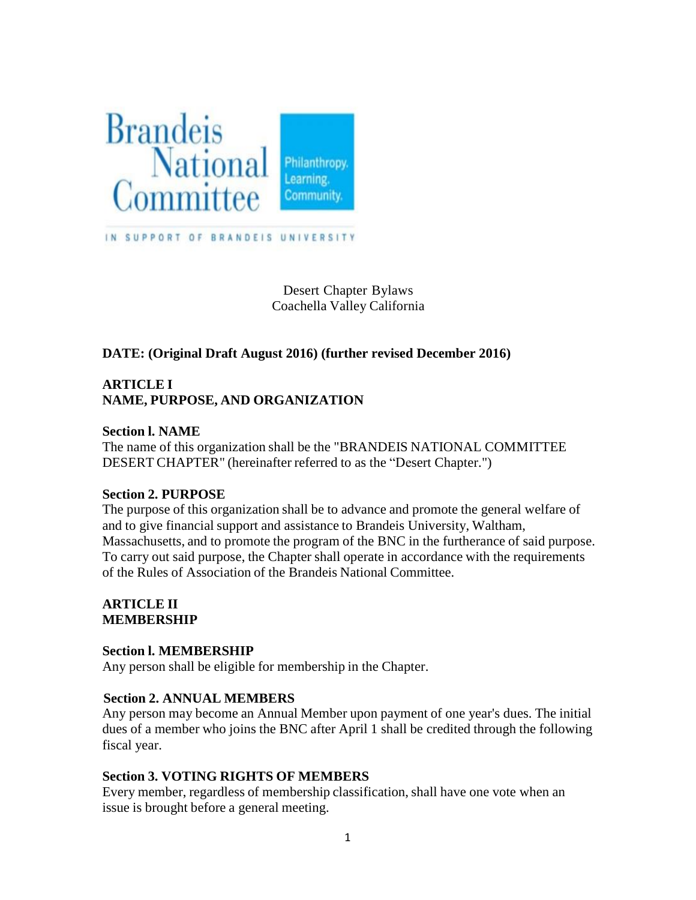

Desert Chapter Bylaws Coachella Valley California

# **DATE: (Original Draft August 2016) (further revised December 2016)**

# **ARTICLE I NAME, PURPOSE, AND ORGANIZATION**

### **Section l. NAME**

The name of this organization shall be the "BRANDEIS NATIONAL COMMITTEE DESERT CHAPTER" (hereinafter referred to as the "Desert Chapter.")

### **Section 2. PURPOSE**

The purpose of this organization shall be to advance and promote the general welfare of and to give financial support and assistance to Brandeis University, Waltham, Massachusetts, and to promote the program of the BNC in the furtherance of said purpose. To carry out said purpose, the Chapter shall operate in accordance with the requirements of the Rules of Association of the Brandeis National Committee.

### **ARTICLE II MEMBERSHIP**

## **Section l. MEMBERSHIP**

Any person shall be eligible for membership in the Chapter.

## **Section 2. ANNUAL MEMBERS**

Any person may become an Annual Member upon payment of one year's dues. The initial dues of a member who joins the BNC after April 1 shall be credited through the following fiscal year.

## **Section 3. VOTING RIGHTS OF MEMBERS**

Every member, regardless of membership classification, shall have one vote when an issue is brought before a general meeting.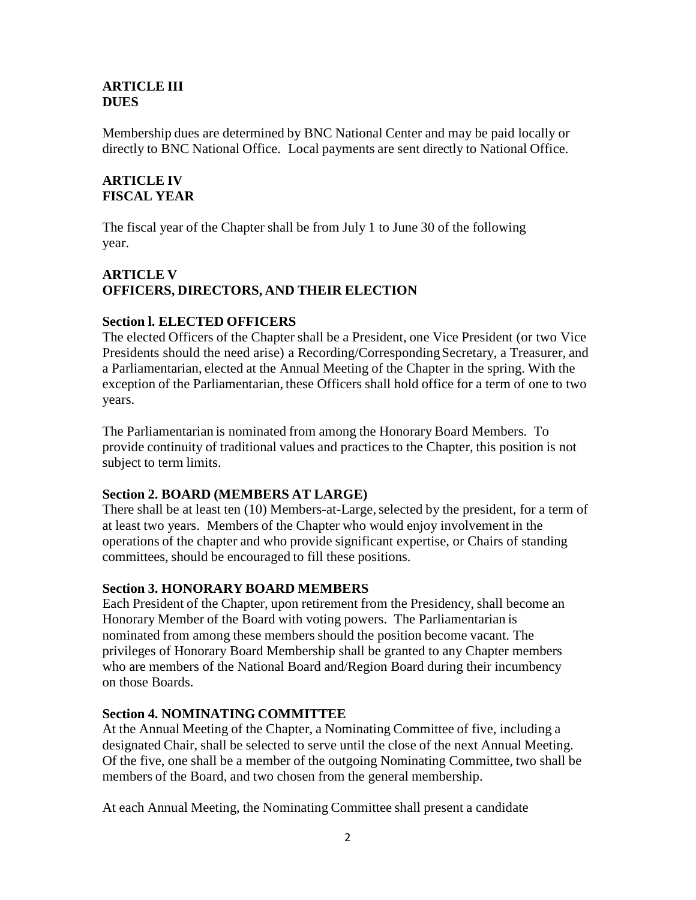### **ARTICLE III DUES**

Membership dues are determined by BNC National Center and may be paid locally or directly to BNC National Office. Local payments are sent directly to National Office.

# **ARTICLE IV FISCAL YEAR**

The fiscal year of the Chapter shall be from July 1 to June 30 of the following year.

# **ARTICLE V OFFICERS, DIRECTORS, AND THEIR ELECTION**

## **Section l. ELECTED OFFICERS**

The elected Officers of the Chapter shall be a President, one Vice President (or two Vice Presidents should the need arise) a Recording/Corresponding Secretary, a Treasurer, and a Parliamentarian, elected at the Annual Meeting of the Chapter in the spring. With the exception of the Parliamentarian, these Officers shall hold office for a term of one to two years.

The Parliamentarian is nominated from among the Honorary Board Members. To provide continuity of traditional values and practices to the Chapter, this position is not subject to term limits.

## **Section 2. BOARD (MEMBERS AT LARGE)**

There shall be at least ten (10) Members-at-Large, selected by the president, for a term of at least two years. Members of the Chapter who would enjoy involvement in the operations of the chapter and who provide significant expertise, or Chairs of standing committees, should be encouraged to fill these positions.

## **Section 3. HONORARY BOARD MEMBERS**

Each President of the Chapter, upon retirement from the Presidency, shall become an Honorary Member of the Board with voting powers. The Parliamentarian is nominated from among these members should the position become vacant. The privileges of Honorary Board Membership shall be granted to any Chapter members who are members of the National Board and/Region Board during their incumbency on those Boards.

## **Section 4. NOMINATING COMMITTEE**

At the Annual Meeting of the Chapter, a Nominating Committee of five, including a designated Chair, shall be selected to serve until the close of the next Annual Meeting. Of the five, one shall be a member of the outgoing Nominating Committee, two shall be members of the Board, and two chosen from the general membership.

At each Annual Meeting, the Nominating Committee shall present a candidate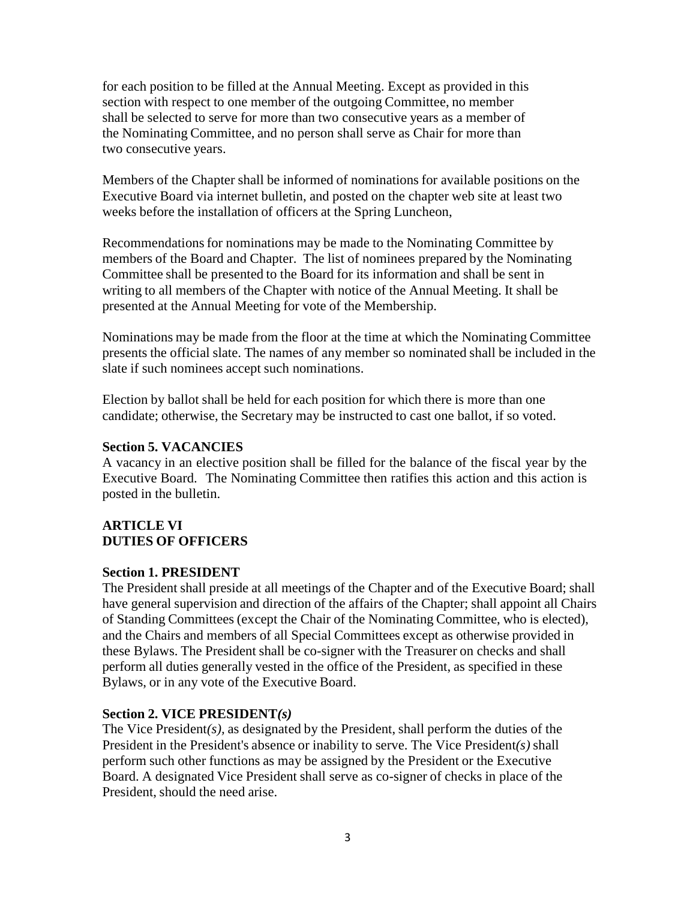for each position to be filled at the Annual Meeting. Except as provided in this section with respect to one member of the outgoing Committee, no member shall be selected to serve for more than two consecutive years as a member of the Nominating Committee, and no person shall serve as Chair for more than two consecutive years.

Members of the Chapter shall be informed of nominations for available positions on the Executive Board via internet bulletin, and posted on the chapter web site at least two weeks before the installation of officers at the Spring Luncheon,

Recommendations for nominations may be made to the Nominating Committee by members of the Board and Chapter. The list of nominees prepared by the Nominating Committee shall be presented to the Board for its information and shall be sent in writing to all members of the Chapter with notice of the Annual Meeting. It shall be presented at the Annual Meeting for vote of the Membership.

Nominations may be made from the floor at the time at which the Nominating Committee presents the official slate. The names of any member so nominated shall be included in the slate if such nominees accept such nominations.

Election by ballot shall be held for each position for which there is more than one candidate; otherwise, the Secretary may be instructed to cast one ballot, if so voted.

### **Section 5. VACANCIES**

A vacancy in an elective position shall be filled for the balance of the fiscal year by the Executive Board. The Nominating Committee then ratifies this action and this action is posted in the bulletin.

# **ARTICLE VI DUTIES OF OFFICERS**

### **Section 1. PRESIDENT**

The President shall preside at all meetings of the Chapter and of the Executive Board; shall have general supervision and direction of the affairs of the Chapter; shall appoint all Chairs of Standing Committees (except the Chair of the Nominating Committee, who is elected), and the Chairs and members of all Special Committees except as otherwise provided in these Bylaws. The President shall be co-signer with the Treasurer on checks and shall perform all duties generally vested in the office of the President, as specified in these Bylaws, or in any vote of the Executive Board.

### **Section 2. VICE PRESIDENT***(s)*

The Vice President*(s),* as designated by the President, shall perform the duties of the President in the President's absence or inability to serve. The Vice President*(s)* shall perform such other functions as may be assigned by the President or the Executive Board. A designated Vice President shall serve as co-signer of checks in place of the President, should the need arise.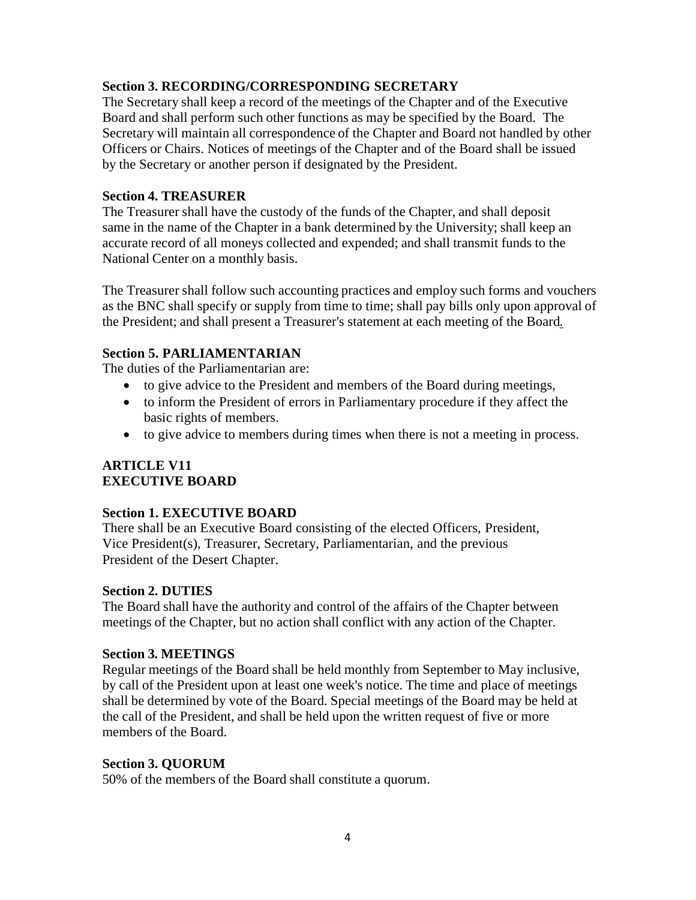## **Section 3. RECORDING/CORRESPONDING SECRETARY**

The Secretary shall keep a record of the meetings of the Chapter and of the Executive Board and shall perform such other functions as may be specified by the Board. The Secretary will maintain all correspondence of the Chapter and Board not handled by other Officers or Chairs. Notices of meetings of the Chapter and of the Board shall be issued by the Secretary or another person if designated by the President.

### **Section 4. TREASURER**

The Treasurer shall have the custody of the funds of the Chapter, and shall deposit same in the name of the Chapter in a bank determined by the University; shall keep an accurate record of all moneys collected and expended; and shall transmit funds to the National Center on a monthly basis.

The Treasurer shall follow such accounting practices and employ such forms and vouchers as the BNC shall specify or supply from time to time; shall pay bills only upon approval of the President; and shall present a Treasurer's statement at each meeting of the Board*.*

### **Section 5. PARLIAMENTARIAN**

The duties of the Parliamentarian are:

- to give advice to the President and members of the Board during meetings,
- to inform the President of errors in Parliamentary procedure if they affect the basic rights of members.
- to give advice to members during times when there is not a meeting in process.

### **ARTICLE V11 EXECUTIVE BOARD**

### **Section 1. EXECUTIVE BOARD**

There shall be an Executive Board consisting of the elected Officers, President, Vice President(s), Treasurer, Secretary, Parliamentarian, and the previous President of the Desert Chapter.

### **Section 2. DUTIES**

The Board shall have the authority and control of the affairs of the Chapter between meetings of the Chapter, but no action shall conflict with any action of the Chapter.

### **Section 3. MEETINGS**

Regular meetings of the Board shall be held monthly from September to May inclusive, by call of the President upon at least one week's notice. The time and place of meetings shall be determined by vote of the Board. Special meetings of the Board may be held at the call of the President, and shall be held upon the written request of five or more members of the Board.

### **Section 3. QUORUM**

50% of the members of the Board shall constitute a quorum.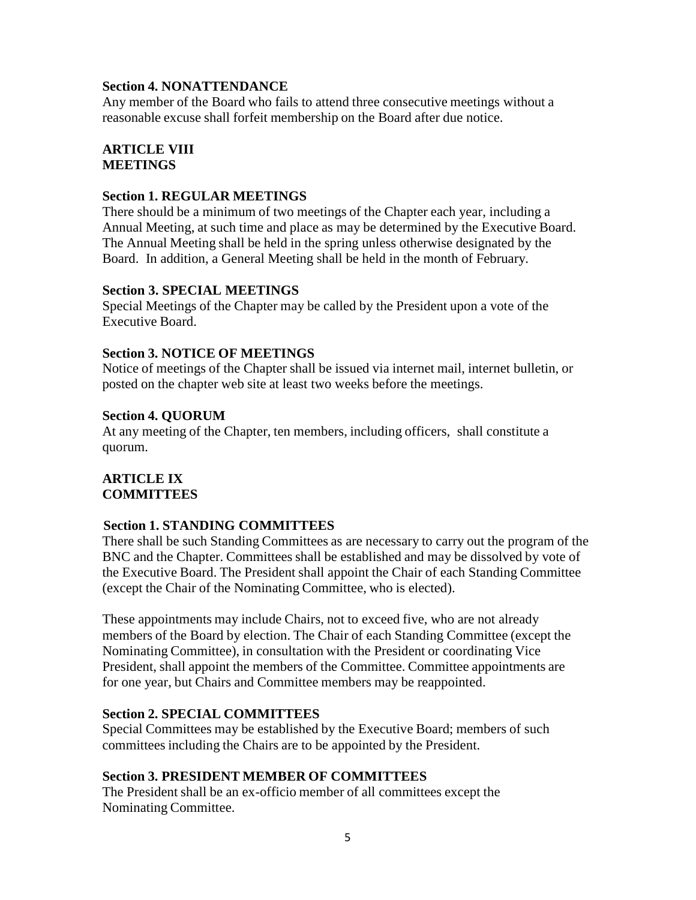### **Section 4. NONATTENDANCE**

Any member of the Board who fails to attend three consecutive meetings without a reasonable excuse shall forfeit membership on the Board after due notice.

#### **ARTICLE VIII MEETINGS**

### **Section 1. REGULAR MEETINGS**

There should be a minimum of two meetings of the Chapter each year, including a Annual Meeting, at such time and place as may be determined by the Executive Board. The Annual Meeting shall be held in the spring unless otherwise designated by the Board. In addition, a General Meeting shall be held in the month of February.

#### **Section 3. SPECIAL MEETINGS**

Special Meetings of the Chapter may be called by the President upon a vote of the Executive Board.

### **Section 3. NOTICE OF MEETINGS**

Notice of meetings of the Chapter shall be issued via internet mail, internet bulletin, or posted on the chapter web site at least two weeks before the meetings.

#### **Section 4. QUORUM**

At any meeting of the Chapter, ten members, including officers, shall constitute a quorum.

### **ARTICLE IX COMMITTEES**

### **Section 1. STANDING COMMITTEES**

There shall be such Standing Committees as are necessary to carry out the program of the BNC and the Chapter. Committees shall be established and may be dissolved by vote of the Executive Board. The President shall appoint the Chair of each Standing Committee (except the Chair of the Nominating Committee, who is elected).

These appointments may include Chairs, not to exceed five, who are not already members of the Board by election. The Chair of each Standing Committee (except the Nominating Committee), in consultation with the President or coordinating Vice President, shall appoint the members of the Committee. Committee appointments are for one year, but Chairs and Committee members may be reappointed.

### **Section 2. SPECIAL COMMITTEES**

Special Committees may be established by the Executive Board; members of such committees including the Chairs are to be appointed by the President.

### **Section 3. PRESIDENT MEMBER OF COMMITTEES**

The President shall be an ex-officio member of all committees except the Nominating Committee.